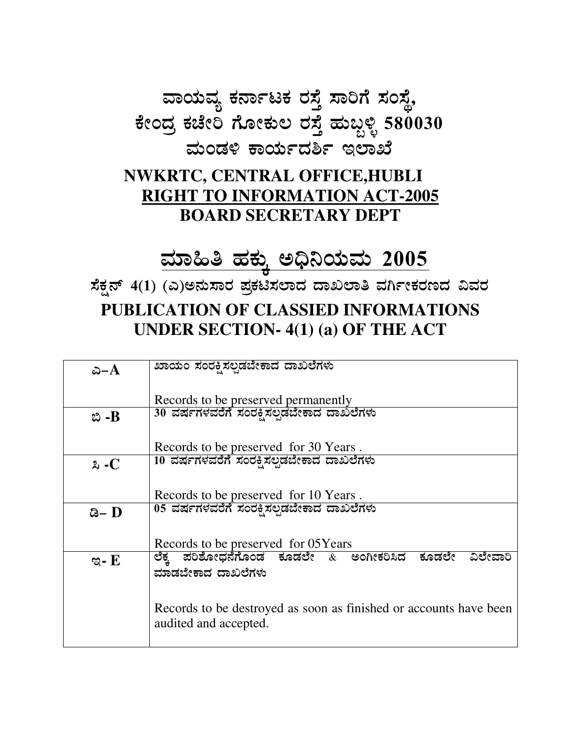ವಾಯವ್ಯ ಕರ್ನಾಟಕ ರಸ್ತೆ ಸಾರಿಗೆ ಸಂಸ್ಥೆ, ಕೇಂದ್ರ ಕಚೇರಿ ಗೋಕುಲ ರಸ್ತೆ ಹುಬ್ಬಳ್ಳಿ 580030 ಮಂಡಳಿ ಕಾರ್ಯದರ್ಶಿ ಇಲಾಖೆ

## **NWKRTC, CENTRAL OFFICE, HUBLI RIGHT TO INFORMATION ACT-2005 BOARD SECRETARY DEPT**

## <u>ಮಾಹಿತಿ ಹಕ್ಕು ಅಧಿನಿಯಮ 2005</u>

ಸೆಕ್ಷನ್ 4(1) (ಎ)ಅನುಸಾರ ಪ್ರಕಟಿಸಲಾದ ದಾಖಲಾತಿ ವರ್ಗೀಕರಣದ ವಿವರ PUBLICATION OF CLASSIED INFORMATIONS **UNDER SECTION-4(1) (a) OF THE ACT** 

| ఎ $-A$       | ಖಾಯಂ ಸಂರಕ್ಷಿಸಲ್ಪಡಬೇಕಾದ ದಾಖಲೆಗಳು                                                            |  |
|--------------|--------------------------------------------------------------------------------------------|--|
|              | Records to be preserved permanently                                                        |  |
| బి -B        | 30 ವರ್ಷಗಳವರೆಗೆ ಸಂರಕ್ಷಿಸಲ್ಪಡೆಬೇಕಾದ ದಾಖಲೆಗಳು                                                 |  |
|              | Records to be preserved for 30 Years.                                                      |  |
| $\lambda$ -C | 10 ವರ್ಷಗಳವರೆಗೆ ಸಂರಕ್ಷಿಸಲ್ಪಡಬೇಕಾದ ದಾಖಲೆಗಳು                                                  |  |
|              | Records to be preserved for 10 Years.                                                      |  |
| ಡಿ– $\bf{D}$ | 05 ವರ್ಷಗಳವರೆಗೆ ಸಂರಕ್ಷಿಸಲ್ಪಡಬೇಕಾದ ದಾಖಲೆಗಳು                                                  |  |
|              | Records to be preserved for 05Years                                                        |  |
| ಇ- $E$       | ಪರಿಶೋಧನೆಗೊಂಡ ಕೂಡಲೇ $\&$ ಅಂಗೀಕರಿಸಿದ ಕೂಡಲೇ ವಿಲೇವಾರಿ<br>ಲೆಕ್ಕ<br>ಮಾಡಬೇಕಾದ ದಾಖಲೆಗಳು            |  |
|              |                                                                                            |  |
|              | Records to be destroyed as soon as finished or accounts have been<br>audited and accepted. |  |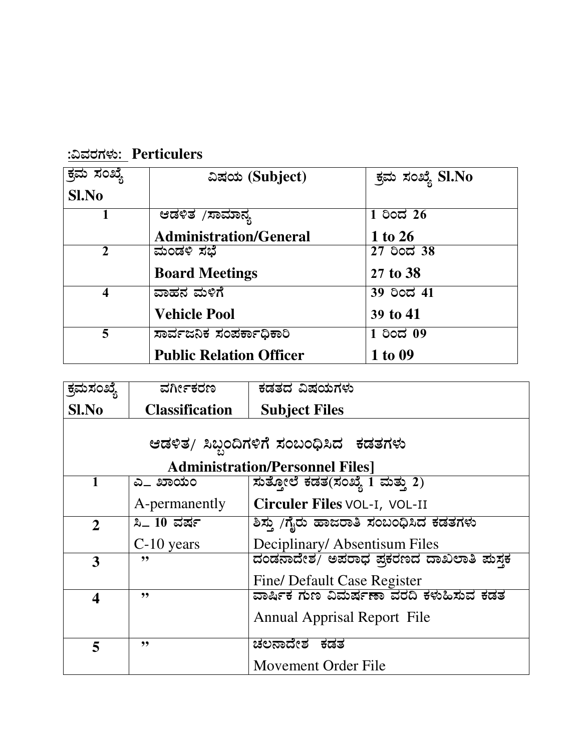| ಕ್ರಮ ಸಂಖ್ಯೆ | ವಿಷಯ (Subject)                 | ಕ್ರಮ ಸಂಖ್ಯೆ SI.No |
|-------------|--------------------------------|-------------------|
| Sl.No       |                                |                   |
|             | ಆಡಳಿತ <sub>/</sub> ಸಾಮಾನ್ಯ     | $1$ ರಿಂದ 26       |
|             | <b>Administration/General</b>  | 1 to 26           |
| 2           | ಮಂಡಳಿ ಸಭೆ                      | 27 ರಿಂದ 38        |
|             | <b>Board Meetings</b>          | 27 to 38          |
| 4           | ವಾಹನ ಮಳಿಗೆ                     | 39 ರಿಂದ 41        |
|             | <b>Vehicle Pool</b>            | 39 to 41          |
| 5           | ಸಾರ್ವಜನಿಕ ಸಂಪರ್ಕಾಧಿಕಾರಿ        | $1$ ರಿಂದ $09$     |
|             | <b>Public Relation Officer</b> | 1 to 09           |

<u>:ವಿವರಗಳು: Perticulers</u>

| ಕ್ರಮಸಂಖ್ಯೆ                             | ವರ್ಗೀಕರಣ              | ಕಡತದ ವಿಷಯಗಳು                                  |  |
|----------------------------------------|-----------------------|-----------------------------------------------|--|
| Sl.No                                  | <b>Classification</b> | <b>Subject Files</b>                          |  |
|                                        |                       |                                               |  |
|                                        |                       | ಆಡಳಿತ/ ಸಿಬ್ಬಂದಿಗಳಿಗೆ ಸಂಬಂಧಿಸಿದ  ಕಡತಗಳು        |  |
| <b>Administration/Personnel Files]</b> |                       |                                               |  |
|                                        | ಎ_ ಖಾಯಂ               | ಸುತ್ತೋಲೆ ಕಡತ(ಸಂಖ್ಯೆ 1 ಮತ್ತು 2)                |  |
|                                        | A-permanently         | Circuler Files VOL-I, VOL-II                  |  |
| $\overline{2}$                         | <b>ಸಿ</b> _ 10 ವರ್ಷ   | ಶಿಸ್ತು /ಗೈರು ಹಾಜರಾತಿ ಸಂಬಂಧಿಸಿದ ಕಡತಗಳು         |  |
|                                        | $C-10$ years          | Deciplinary/Absentisum Files                  |  |
| 3                                      | ,,                    | ದಂಡನಾದೇಶ/ ಅಪರಾಧ ಪಕರಣದ ದಾಖಲಾತಿ ಮಸಕ             |  |
|                                        |                       | Fine/ Default Case Register                   |  |
| $\boldsymbol{4}$                       | ,,                    | <u>ವಾರ್ಷಿಕ ಗುಣ ವಿಮರ್ಷಣಾ ವರದಿ ಕಳುಹಿಸುವ ಕಡತ</u> |  |
|                                        |                       | <b>Annual Apprisal Report File</b>            |  |
| 5                                      | "                     | ಚಲನಾದೇಶ ಕಡತ                                   |  |
|                                        |                       | Movement Order File                           |  |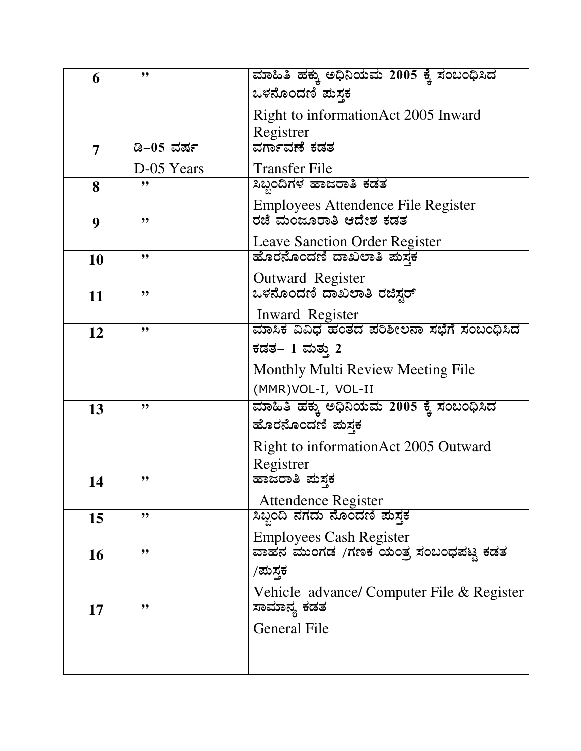| 6         | "          | ಮಾಹಿತಿ ಹಕ್ಕು ಅಧಿನಿಯಮ 2005 ಕ್ಕೆ ಸಂಬಂಧಿಸಿದ  |
|-----------|------------|-------------------------------------------|
|           |            | ಒಳನೊಂದಣಿ ಪುಸ್ತಕ                           |
|           |            | Right to information Act 2005 Inward      |
|           |            | Registrer                                 |
| 7         | ಡಿ–05 ವರ್ಷ | ವರ್ಗಾವಣೆ ಕಡತ                              |
|           | D-05 Years | <b>Transfer File</b>                      |
| 8         | "          | ಸಿಬ್ಬಂದಿಗಳ ಹಾಜರಾತಿ ಕಡತ                    |
|           |            | Employees Attendence File Register        |
| 9         | "          | ರಜೆ ಮಂಜೂರಾತಿ ಆದೇಶ ಕಡತ                     |
|           |            | <b>Leave Sanction Order Register</b>      |
| 10        | "          | ಹೊರನೊಂದಣಿ ದಾಖಲಾತಿ ಪುಸ್ತಕ                  |
|           |            | Outward Register                          |
| 11        | "          | ಒಳನೊಂದಣಿ ದಾಖಲಾತಿ ರಜಿಸ್ಟರ್                 |
|           |            | Inward Register                           |
| 12        | "          | ಮಾಸಿಕ ವಿವಿಧ ಹಂತದ ಪರಿಶೀಲನಾ ಸಭೆಗೆ ಸಂಬಂಧಿಸಿದ |
|           |            | ಕಡತ– 1 ಮತ್ತು 2                            |
|           |            | Monthly Multi Review Meeting File         |
|           |            | (MMR)VOL-I, VOL-II                        |
| 13        | ,,         | ಮಾಹಿತಿ ಹಕ್ಕು ಅಧಿನಿಯಮ 2005 ಕ್ಕೆ ಸಂಬಂಧಿಸಿದ  |
|           |            | ಹೊರನೊಂದಣಿ ಪುಸ್ತಕ                          |
|           |            | Right to information Act 2005 Outward     |
|           |            | Registrer                                 |
| 14        | "          | ಹಾಜರಾತಿ ಪುಸ್ತಕ                            |
|           |            | <b>Attendence Register</b>                |
| 15        | "          | ಸಿಬ್ಬಂದಿ ನಗದು ನೊಂದಣಿ ಮಸ್ತಕ                |
|           |            | <b>Employees Cash Register</b>            |
| <b>16</b> | "          | ವಾಹನ ಮುಂಗಡ  /ಗಣಕ ಯಂತೃ ಸಂಬಂಧಪಟ್ಟ ಕಡತ       |
|           |            | /ಮಸ್ತಕ                                    |
|           |            | Vehicle advance/ Computer File & Register |
| 17        | "          | ಸಾಮಾನ್ಯ ಕಡತ                               |
|           |            | <b>General File</b>                       |
|           |            |                                           |
|           |            |                                           |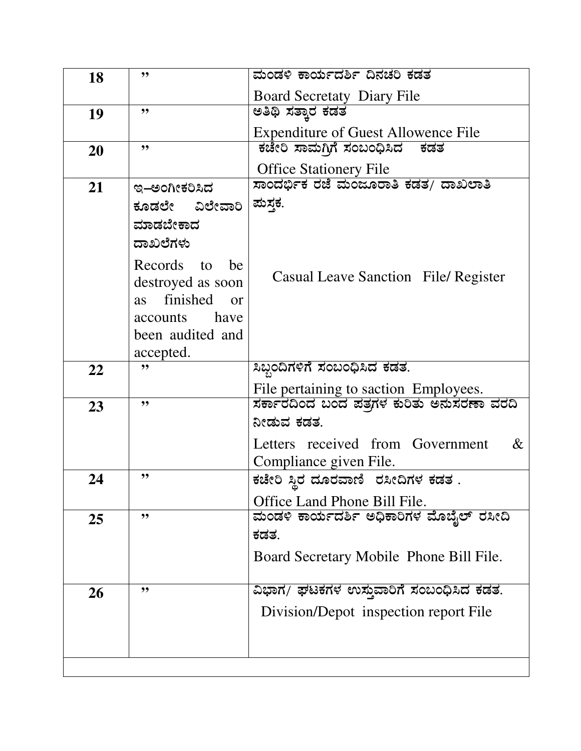| 18 | "                                 | ಮಂಡಳಿ ಕಾರ್ಯದರ್ಶಿ ದಿನಚರಿ ಕಡತ                |
|----|-----------------------------------|--------------------------------------------|
|    |                                   | <b>Board Secretaty Diary File</b>          |
| 19 | ,,                                | ಅತಿಥಿ ಸತ್ತಾರ ಕಡತ                           |
|    |                                   | <b>Expenditure of Guest Allowence File</b> |
| 20 | ,,                                | ಕಚೇರಿ ಸಾಮಗಿಗೆ ಸಂಬಂಧಿಸಿದ<br>ಕಡತ             |
|    |                                   | <b>Office Stationery File</b>              |
| 21 | ಇ–ಅಂಗೀಕರಿಸಿದ                      | ಸಾಂದರ್ಭಿಕ ರಜೆ ಮಂಜೂರಾತಿ ಕಡತ/ ದಾಖಲಾತಿ        |
|    | ಕೂಡಲೇ ವಿಲೇವಾರಿ                    | ಮಸ್ತಕ.                                     |
|    | ಮಾಡಬೇಕಾದ                          |                                            |
|    | ದಾಖಲೆಗಳು                          |                                            |
|    | Records to<br>be                  |                                            |
|    | destroyed as soon                 | Casual Leave Sanction File/ Register       |
|    | finished<br><b>as</b><br>$\alpha$ |                                            |
|    | have<br>accounts                  |                                            |
|    | been audited and                  |                                            |
|    | accepted.                         |                                            |
| 22 | ,,                                | ಸಿಬ್ಬಂದಿಗಳಿಗೆ ಸಂಬಂಧಿಸಿದ ಕಡತ.               |
|    |                                   | File pertaining to saction Employees.      |
| 23 | "                                 | ಸರ್ಕಾರದಿಂದ ಬಂದ ಪತ್ರಗಳ ಕುರಿತು ಅನುಸರಣಾ ವರದಿ  |
|    |                                   | ನೀಡುವ ಕಡತ್ತ                                |
|    |                                   | Letters received from Government<br>$\&$   |
|    | "                                 | Compliance given File.                     |
| 24 |                                   | ಕಚೇರಿ ಸ್ತಿರ ದೂರವಾಣಿ  ರಸೀದಿಗಳ ಕಡತ .         |
|    |                                   | Office Land Phone Bill File.               |
| 25 | "                                 | ಮಂಡಳಿ ಕಾರ್ಯದರ್ಶಿ ಅಧಿಕಾರಿಗಳ ಮೊಬೈಲ್ ರಸೀದಿ    |
|    |                                   | ಕಡತ.                                       |
|    |                                   | Board Secretary Mobile Phone Bill File.    |
|    | "                                 |                                            |
| 26 |                                   | ವಿಭಾಗ/ ಘಟಕಗಳ ಉಸ್ತುವಾರಿಗೆ ಸಂಬಂಧಿಸಿದ ಕಡತ.    |
|    |                                   | Division/Depot inspection report File      |
|    |                                   |                                            |
|    |                                   |                                            |
|    |                                   |                                            |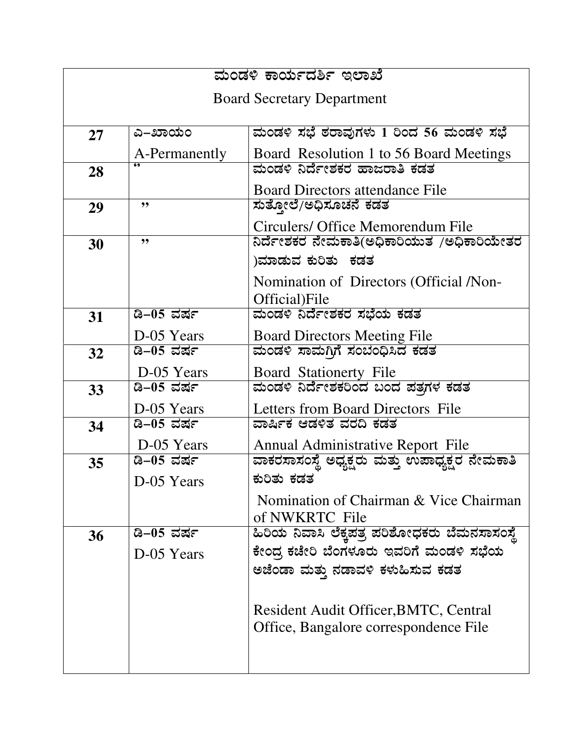| ಮಂಡಳಿ ಕಾರ್ಯದರ್ಶಿ ಇಲಾಖೆ            |                   |                                                 |  |
|-----------------------------------|-------------------|-------------------------------------------------|--|
| <b>Board Secretary Department</b> |                   |                                                 |  |
|                                   |                   |                                                 |  |
| 27                                | ಎ–ಖಾಯಂ            | ಮಂಡಳಿ ಸಭೆ ಠರಾವುಗಳು 1 ರಿಂದ 56 ಮಂಡಳಿ ಸಭೆ          |  |
|                                   | A-Permanently     | Board Resolution 1 to 56 Board Meetings         |  |
| 28                                |                   | ಮಂಡಳಿ ನಿರ್ದೇಶಕರ ಹಾಜರಾತಿ ಕಡತ                     |  |
|                                   |                   | <b>Board Directors attendance File</b>          |  |
| 29                                | "                 | ಸುತ್ತೋಲೆ/ಅಧಿಸೂಚನೆ ಕಡತ                           |  |
|                                   |                   | Circulers/ Office Memorendum File               |  |
| 30                                | ,,                | ನಿರ್ದೇಶಕರ ನೇಮಕಾತಿ(ಅಧಿಕಾರಿಯುತ  /ಅಧಿಕಾರಿಯೇತರ      |  |
|                                   |                   | )ಮಾಡುವ ಕುರಿತು  ಕಡತ                              |  |
|                                   |                   | Nomination of Directors (Official /Non-         |  |
|                                   |                   | Official)File                                   |  |
| 31                                | ಡಿ–05 ವರ್ಷ        | ಮಂಡಳಿ ನಿರ್ದೇಶಕರ ಸಭೆಯ ಕಡತ                        |  |
|                                   | D-05 Years        | <b>Board Directors Meeting File</b>             |  |
| 32                                | <u>ಡಿ–05 ವರ್ಷ</u> | ಮಂಡಳಿ ಸಾಮಗಿಗೆ ಸಂಬಂಧಿಸಿದ ಕಡತ                     |  |
|                                   | D-05 Years        | Board Stationerty File                          |  |
| 33                                | ಡಿ–05 ವರ್ಷ        | ಮಂಡಳಿ ನಿರ್ದೇಶಕರಿಂದ ಬಂದ ಪತ್ರಗಳ ಕಡತ               |  |
|                                   | D-05 Years        | Letters from Board Directors File               |  |
| 34                                | <u>ಡಿ–05 ವರ್ಷ</u> | ವಾರ್ಷಿಕ ಆಡಳಿತ ವರದಿ ಕಡತ                          |  |
|                                   | D-05 Years        | Annual Administrative Report File               |  |
| 35                                | ಡಿ–05 ವರ್ಷ        | ವಾಕರಸಾಸಂಸ್ಥೆ ಅಧ್ಯಕ್ಷರು ಮತ್ತು ಉಪಾಧ್ಯಕ್ಷರ ನೇಮಕಾತಿ |  |
|                                   | D-05 Years        | ಕುರಿತು ಕಡತ                                      |  |
|                                   |                   | Nomination of Chairman & Vice Chairman          |  |
|                                   |                   | of NWKRTC File                                  |  |
| 36                                | ಡಿ–05 ವರ್ಷ        | ಹಿರಿಯ ನಿವಾಸಿ ಲೆಕ್ತಪತ್ರ ಪರಿಶೋಧಕರು ಬೆಮನಸಾಸಂಸ್ಥೆ   |  |
|                                   | D-05 Years        | ಕೇಂದ್ರ ಕಚೇರಿ ಬೆಂಗಳೂರು ಇವರಿಗೆ ಮಂಡಳಿ ಸಭೆಯ         |  |
|                                   |                   | ಅಜೆಂಡಾ ಮತ್ತು ನಡಾವಳಿ ಕಳುಹಿಸುವ ಕಡತ                |  |
|                                   |                   |                                                 |  |
|                                   |                   | Resident Audit Officer, BMTC, Central           |  |
|                                   |                   | Office, Bangalore correspondence File           |  |
|                                   |                   |                                                 |  |
|                                   |                   |                                                 |  |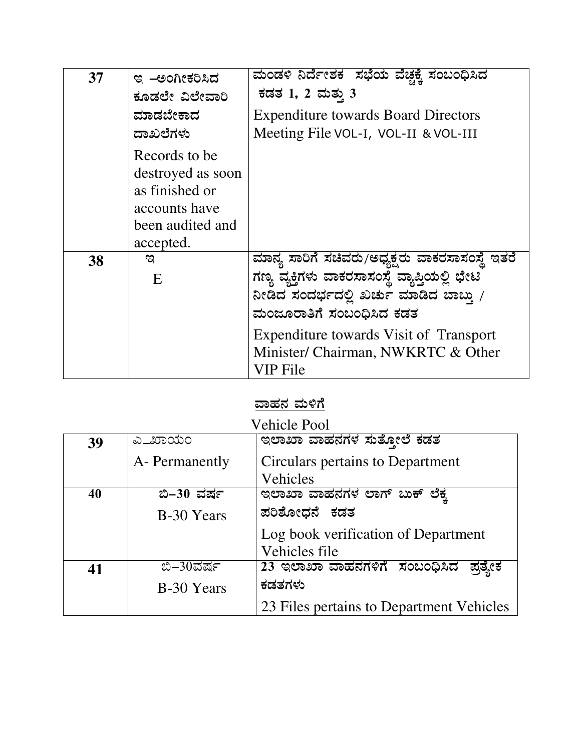| 37 | ಇ –ಅಂಗೀಕರಿಸಿದ                                                                                          | <u>ಮಂಡಳಿ ನಿರ್ದೇಶಕ  ಸಭೆಯ ವೆಚ್ಚಕ್ಕೆ ಸಂಬಂಧಿಸಿದ</u>                                                                                                                                                                                                                      |
|----|--------------------------------------------------------------------------------------------------------|----------------------------------------------------------------------------------------------------------------------------------------------------------------------------------------------------------------------------------------------------------------------|
|    | ಕೂಡಲೇ ವಿಲೇವಾರಿ                                                                                         | ಕಡತ 1, 2 ಮತ್ತು 3                                                                                                                                                                                                                                                     |
|    | ಮಾಡಬೇಕಾದ                                                                                               | <b>Expenditure towards Board Directors</b>                                                                                                                                                                                                                           |
|    | ದಾಖಲೆಗಳು                                                                                               | Meeting File VOL-I, VOL-II & VOL-III                                                                                                                                                                                                                                 |
|    | Records to be<br>destroyed as soon<br>as finished or<br>accounts have<br>been audited and<br>accepted. |                                                                                                                                                                                                                                                                      |
| 38 | ಇ<br>E                                                                                                 | ಮಾನ್ಯ ಸಾರಿಗೆ ಸಚಿವರು/ಅಧ್ಯಕ್ಷರು ವಾಕರಸಾಸಂಸ್ಥೆ ಇತರೆ<br>ಗಣ್ಯ ವ್ಯಕ್ತಿಗಳು ವಾಕರಸಾಸಂಸ್ಥೆ ವ್ಯಾಪ್ತಿಯಲ್ಲಿ ಭೇಟಿ<br>ನೀಡಿದ ಸಂದರ್ಭದಲ್ಲಿ ಖರ್ಚು ಮಾಡಿದ ಬಾಬ್ತು /<br>ಮಂಜೂರಾತಿಗೆ ಸಂಬಂಧಿಸಿದ ಕಡತ<br>Expenditure towards Visit of Transport<br>Minister/ Chairman, NWKRTC & Other<br>VIP File |

## <u>ವಾಹನ ಮಳಿಗೆ</u>

| <b>Vehicle Pool</b> |                |                                          |  |
|---------------------|----------------|------------------------------------------|--|
| 39                  | ಎ_ಖಾಯಂ         | ಇಲಾಖಾ ವಾಹನಗಳ ಸುತೋಲೆ ಕಡತ                  |  |
|                     | A- Permanently | Circulars pertains to Department         |  |
|                     |                | Vehicles                                 |  |
| 40                  | ಬಿ–30 ವರ್ಷ     | ಇಲಾಖಾ ವಾಹನಗಳ ಲಾಗ್ ಬುಕ್ ಲೆಕ್ಕ             |  |
|                     | B-30 Years     | ಪರಿಶೋಧನೆ ಕಡತ                             |  |
|                     |                | Log book verification of Department      |  |
|                     |                | Vehicles file                            |  |
| 41                  | ಬಿ–30ವರ್ಷ      | 23 ಇಲಾಖಾ ವಾಹನಗಳಿಗೆ ಸಂಬಂಧಿಸಿದ<br>ಪ್ರತ್ಯೇಕ |  |
|                     | B-30 Years     | ಕಡತಗಳು                                   |  |
|                     |                | 23 Files pertains to Department Vehicles |  |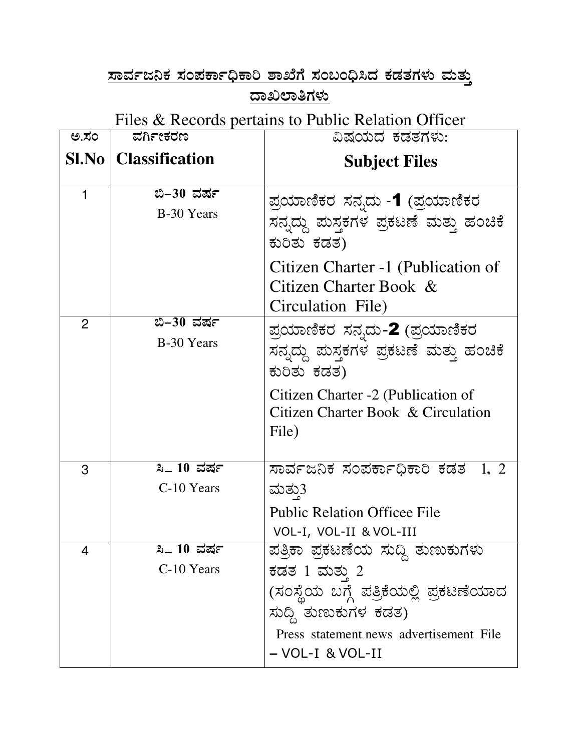## <u>ಸಾರ್ವಜನಿಕ ಸಂಪರ್ಕಾಧಿಕಾರಿ ಶಾಖೆಗೆ ಸಂಬಂಧಿಸಿದ ಕಡತಗಳು ಮತ್ತು</u> <u>ದಾಖಲಾತಿಗಳು</u>

Files & Records pertains to Public Relation Officer

| ಅ.ಸಂ           | ವರ್ಗೀಕರಣ                          | ವಿಷಯದ ಕಡತಗಳು:                                                                                                                                                                         |
|----------------|-----------------------------------|---------------------------------------------------------------------------------------------------------------------------------------------------------------------------------------|
|                | <b>Sl.No</b>   Classification     | <b>Subject Files</b>                                                                                                                                                                  |
|                | ಬಿ–30 ವರ್ಷ<br>B-30 Years          | ಪ್ರಯಾಣಿಕರ ಸನ್ನದು -1 (ಪ್ರಯಾಣಿಕರ<br>ಸನ್ನದ್ದು ಮಸ್ತಕಗಳ ಪ್ರಕಟಣೆ ಮತ್ತು ಹಂಚಿಕೆ<br>ಕುರಿತು ಕಡತ)<br>Citizen Charter -1 (Publication of<br>Citizen Charter Book &                                |
| $\overline{2}$ | ಬಿ–30 ವರ್ಷ                        | Circulation File)                                                                                                                                                                     |
|                | B-30 Years                        | ಪ್ರಯಾಣಿಕರ ಸನ್ನದು-2 (ಪ್ರಯಾಣಿಕರ<br>ಸನ್ನದ್ದು ಮಸ್ತಕಗಳ ಪ್ರಕಟಣೆ ಮತ್ತು ಹಂಚಿಕೆ<br>ಕುರಿತು ಕಡತ)<br>Citizen Charter -2 (Publication of<br>Citizen Charter Book & Circulation<br>File)            |
| 3              | <b>ಸಿ</b> _ 10 ವರ್ಷ<br>C-10 Years | ಸಾರ್ವಜನಿಕ ಸಂಪರ್ಕಾಧಿಕಾರಿ ಕಡತ<br>1, 2<br>ಮತು3<br><b>Public Relation Officee File</b><br>VOL-I, VOL-II & VOL-III                                                                         |
| 4              | పి.<br>10 ವರ್ಷ<br>C-10 Years      | ಪತ್ರಿಕಾ ಪ್ರಕಟಣೆಯ ಸುದ್ದಿ ತುಣುಕುಗಳು<br>ಕಡತ 1 ಮತ್ತು 2<br>(ಸಂಸ್ಥೆಯ ಬಗ್ಗೆ ಪತ್ರಿಕೆಯಲ್ಲಿ ಪ್ರಕಟಣೆಯಾದ<br>ಸುದ್ದಿ ತುಣುಕುಗಳ ಕಡತ)<br>Press statement news advertisement File<br>$-$ VOL-I & VOL-II |